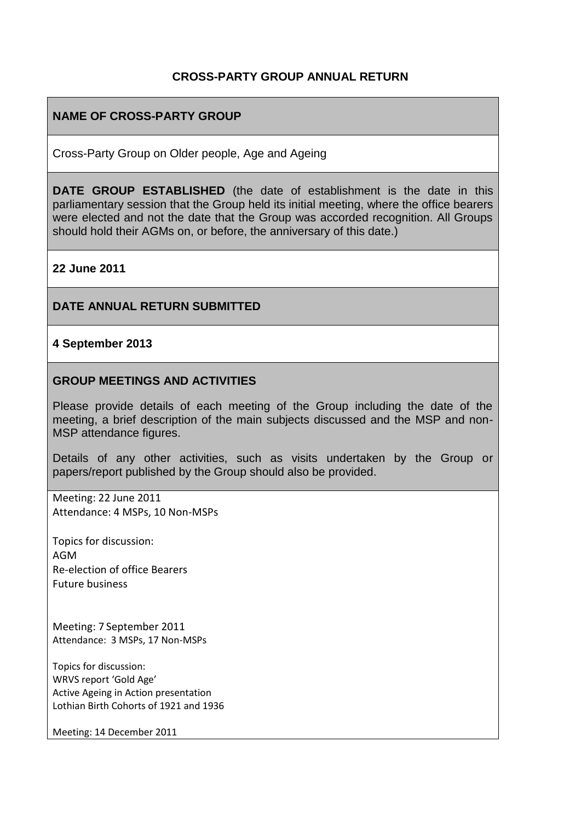## **CROSS-PARTY GROUP ANNUAL RETURN**

## **NAME OF CROSS-PARTY GROUP**

Cross-Party Group on Older people, Age and Ageing

**DATE GROUP ESTABLISHED** (the date of establishment is the date in this parliamentary session that the Group held its initial meeting, where the office bearers were elected and not the date that the Group was accorded recognition. All Groups should hold their AGMs on, or before, the anniversary of this date.)

**22 June 2011**

### **DATE ANNUAL RETURN SUBMITTED**

#### **4 September 2013**

### **GROUP MEETINGS AND ACTIVITIES**

Please provide details of each meeting of the Group including the date of the meeting, a brief description of the main subjects discussed and the MSP and non-MSP attendance figures.

Details of any other activities, such as visits undertaken by the Group or papers/report published by the Group should also be provided.

Meeting: 22 June 2011 Attendance: 4 MSPs, 10 Non-MSPs

Topics for discussion: AGM Re-election of office Bearers Future business

Meeting: 7 September 2011 Attendance: 3 MSPs, 17 Non-MSPs

Topics for discussion: WRVS report 'Gold Age' Active Ageing in Action presentation Lothian Birth Cohorts of 1921 and 1936

Meeting: 14 December 2011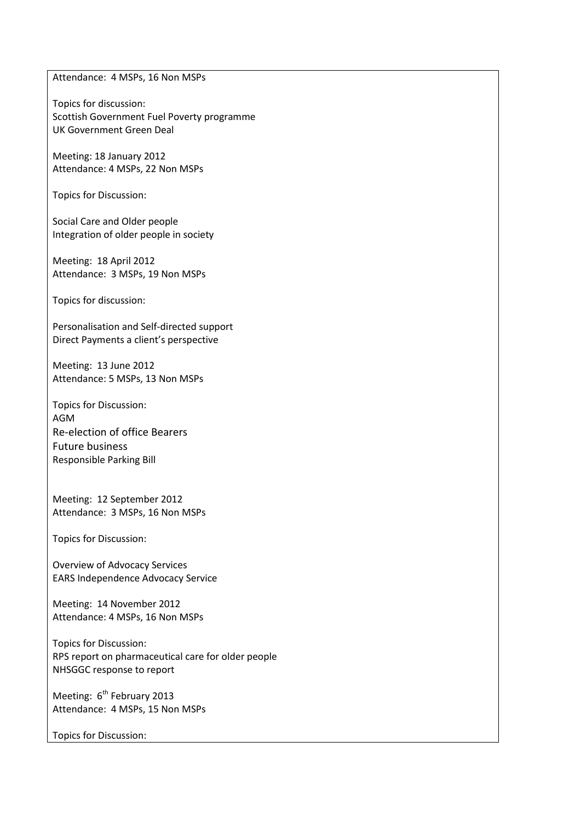Attendance: 4 MSPs, 16 Non MSPs

Topics for discussion: Scottish Government Fuel Poverty programme UK Government Green Deal

Meeting: 18 January 2012 Attendance: 4 MSPs, 22 Non MSPs

Topics for Discussion:

Social Care and Older people Integration of older people in society

Meeting: 18 April 2012 Attendance: 3 MSPs, 19 Non MSPs

Topics for discussion:

Personalisation and Self-directed support Direct Payments a client's perspective

Meeting: 13 June 2012 Attendance: 5 MSPs, 13 Non MSPs

Topics for Discussion: AGM Re-election of office Bearers Future business Responsible Parking Bill

Meeting: 12 September 2012 Attendance: 3 MSPs, 16 Non MSPs

Topics for Discussion:

Overview of Advocacy Services EARS Independence Advocacy Service

Meeting: 14 November 2012 Attendance: 4 MSPs, 16 Non MSPs

Topics for Discussion: RPS report on pharmaceutical care for older people NHSGGC response to report

Meeting: 6<sup>th</sup> February 2013 Attendance: 4 MSPs, 15 Non MSPs

Topics for Discussion: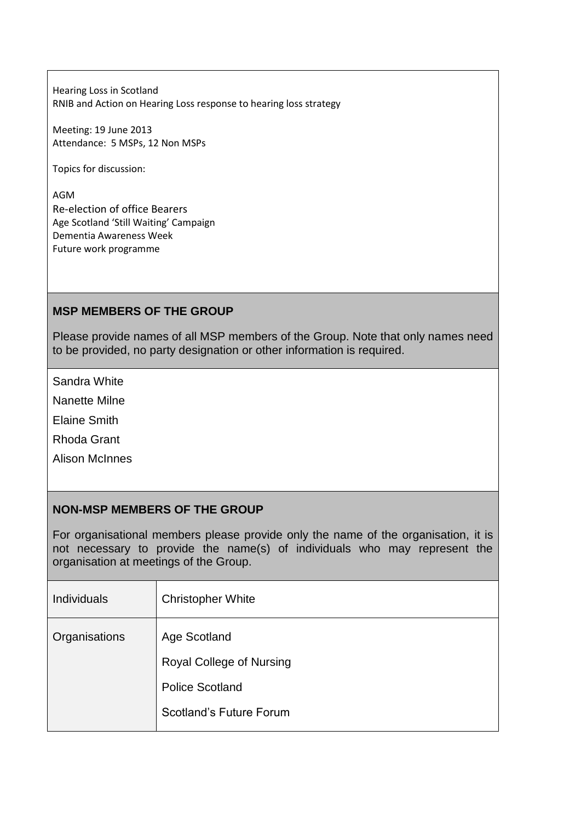Hearing Loss in Scotland RNIB and Action on Hearing Loss response to hearing loss strategy

Meeting: 19 June 2013 Attendance: 5 MSPs, 12 Non MSPs

Topics for discussion:

AGM Re-election of office Bearers Age Scotland 'Still Waiting' Campaign Dementia Awareness Week Future work programme

# **MSP MEMBERS OF THE GROUP**

Please provide names of all MSP members of the Group. Note that only names need to be provided, no party designation or other information is required.

Sandra White

Nanette Milne

Elaine Smith

Rhoda Grant

Alison McInnes

## **NON-MSP MEMBERS OF THE GROUP**

For organisational members please provide only the name of the organisation, it is not necessary to provide the name(s) of individuals who may represent the organisation at meetings of the Group.

| <b>Individuals</b> | <b>Christopher White</b>        |
|--------------------|---------------------------------|
| Organisations      | Age Scotland                    |
|                    | <b>Royal College of Nursing</b> |
|                    | <b>Police Scotland</b>          |
|                    | Scotland's Future Forum         |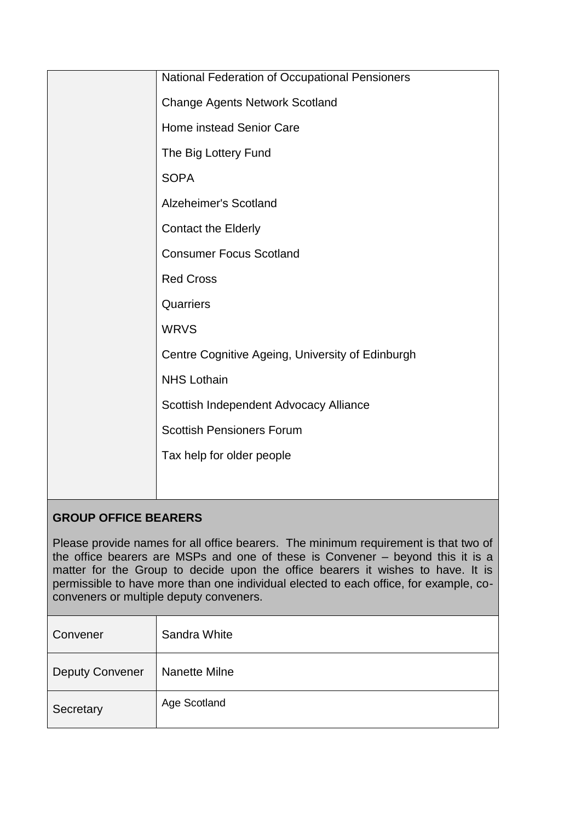| National Federation of Occupational Pensioners   |
|--------------------------------------------------|
| <b>Change Agents Network Scotland</b>            |
| Home instead Senior Care                         |
| The Big Lottery Fund                             |
| <b>SOPA</b>                                      |
| Alzeheimer's Scotland                            |
| <b>Contact the Elderly</b>                       |
| <b>Consumer Focus Scotland</b>                   |
| <b>Red Cross</b>                                 |
| Quarriers                                        |
| <b>WRVS</b>                                      |
| Centre Cognitive Ageing, University of Edinburgh |
| <b>NHS Lothain</b>                               |
| Scottish Independent Advocacy Alliance           |
| <b>Scottish Pensioners Forum</b>                 |
| Tax help for older people                        |
|                                                  |
|                                                  |

# **GROUP OFFICE BEARERS**

Please provide names for all office bearers. The minimum requirement is that two of the office bearers are MSPs and one of these is Convener – beyond this it is a matter for the Group to decide upon the office bearers it wishes to have. It is permissible to have more than one individual elected to each office, for example, coconveners or multiple deputy conveners.

| Convener               | Sandra White  |
|------------------------|---------------|
| <b>Deputy Convener</b> | Nanette Milne |
| Secretary              | Age Scotland  |